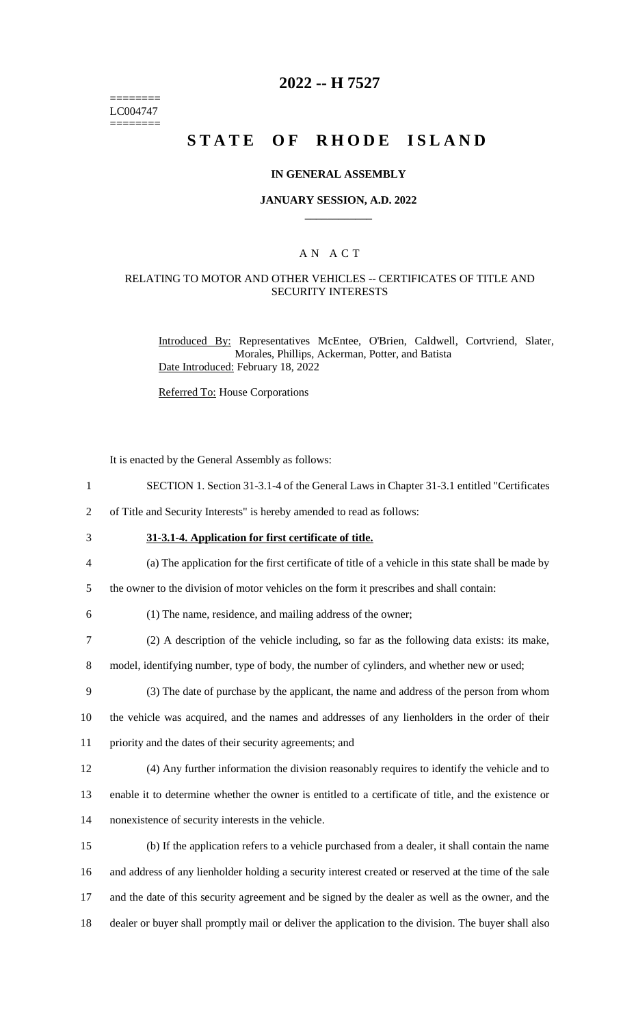======== LC004747 ========

### **2022 -- H 7527**

# **STATE OF RHODE ISLAND**

#### **IN GENERAL ASSEMBLY**

#### **JANUARY SESSION, A.D. 2022 \_\_\_\_\_\_\_\_\_\_\_\_**

### A N A C T

### RELATING TO MOTOR AND OTHER VEHICLES -- CERTIFICATES OF TITLE AND SECURITY INTERESTS

Introduced By: Representatives McEntee, O'Brien, Caldwell, Cortvriend, Slater, Morales, Phillips, Ackerman, Potter, and Batista Date Introduced: February 18, 2022

Referred To: House Corporations

It is enacted by the General Assembly as follows:

- 1 SECTION 1. Section 31-3.1-4 of the General Laws in Chapter 31-3.1 entitled "Certificates
- 2 of Title and Security Interests" is hereby amended to read as follows:
- 

3 **31-3.1-4. Application for first certificate of title.**

- 4 (a) The application for the first certificate of title of a vehicle in this state shall be made by
- 5 the owner to the division of motor vehicles on the form it prescribes and shall contain:
- 

6 (1) The name, residence, and mailing address of the owner;

7 (2) A description of the vehicle including, so far as the following data exists: its make,

8 model, identifying number, type of body, the number of cylinders, and whether new or used;

- 9 (3) The date of purchase by the applicant, the name and address of the person from whom 10 the vehicle was acquired, and the names and addresses of any lienholders in the order of their 11 priority and the dates of their security agreements; and
- 12 (4) Any further information the division reasonably requires to identify the vehicle and to

13 enable it to determine whether the owner is entitled to a certificate of title, and the existence or 14 nonexistence of security interests in the vehicle.

 (b) If the application refers to a vehicle purchased from a dealer, it shall contain the name and address of any lienholder holding a security interest created or reserved at the time of the sale and the date of this security agreement and be signed by the dealer as well as the owner, and the dealer or buyer shall promptly mail or deliver the application to the division. The buyer shall also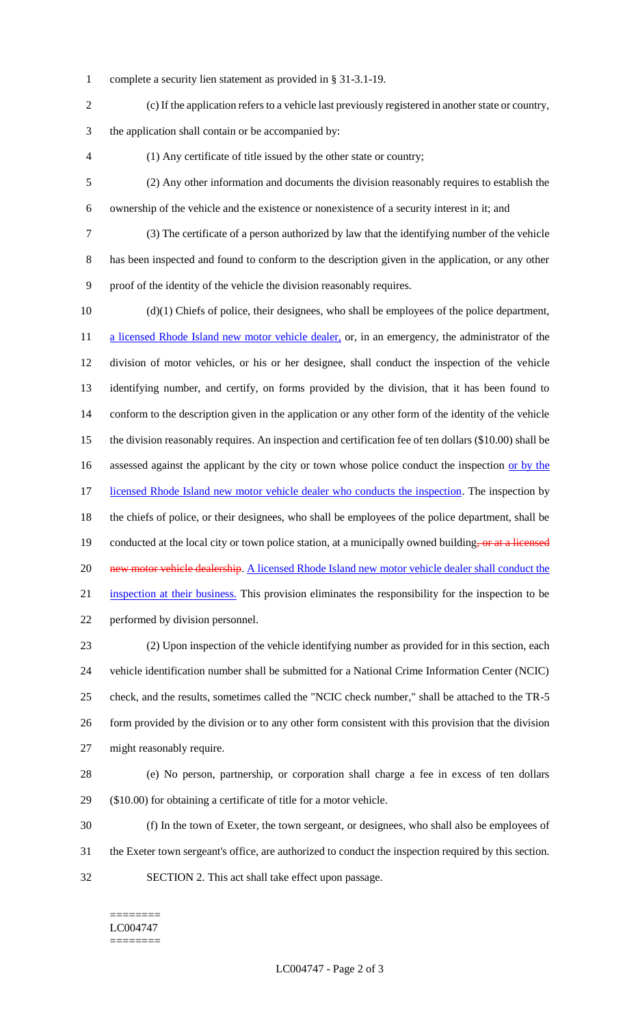- complete a security lien statement as provided in § 31-3.1-19.
- (c) If the application refers to a vehicle last previously registered in another state or country,

the application shall contain or be accompanied by:

- (1) Any certificate of title issued by the other state or country;
- (2) Any other information and documents the division reasonably requires to establish the ownership of the vehicle and the existence or nonexistence of a security interest in it; and
- (3) The certificate of a person authorized by law that the identifying number of the vehicle

 has been inspected and found to conform to the description given in the application, or any other proof of the identity of the vehicle the division reasonably requires.

 (d)(1) Chiefs of police, their designees, who shall be employees of the police department, 11 a licensed Rhode Island new motor vehicle dealer, or, in an emergency, the administrator of the division of motor vehicles, or his or her designee, shall conduct the inspection of the vehicle identifying number, and certify, on forms provided by the division, that it has been found to conform to the description given in the application or any other form of the identity of the vehicle the division reasonably requires. An inspection and certification fee of ten dollars (\$10.00) shall be 16 assessed against the applicant by the city or town whose police conduct the inspection or by the 17 licensed Rhode Island new motor vehicle dealer who conducts the inspection. The inspection by the chiefs of police, or their designees, who shall be employees of the police department, shall be 19 conducted at the local city or town police station, at a municipally owned building, or at a licensed 20 new motor vehicle dealership. A licensed Rhode Island new motor vehicle dealer shall conduct the inspection at their business. This provision eliminates the responsibility for the inspection to be performed by division personnel. (2) Upon inspection of the vehicle identifying number as provided for in this section, each

 vehicle identification number shall be submitted for a National Crime Information Center (NCIC) check, and the results, sometimes called the "NCIC check number," shall be attached to the TR-5 form provided by the division or to any other form consistent with this provision that the division might reasonably require.

 (e) No person, partnership, or corporation shall charge a fee in excess of ten dollars (\$10.00) for obtaining a certificate of title for a motor vehicle.

 (f) In the town of Exeter, the town sergeant, or designees, who shall also be employees of the Exeter town sergeant's office, are authorized to conduct the inspection required by this section. SECTION 2. This act shall take effect upon passage.

======== LC004747 ========